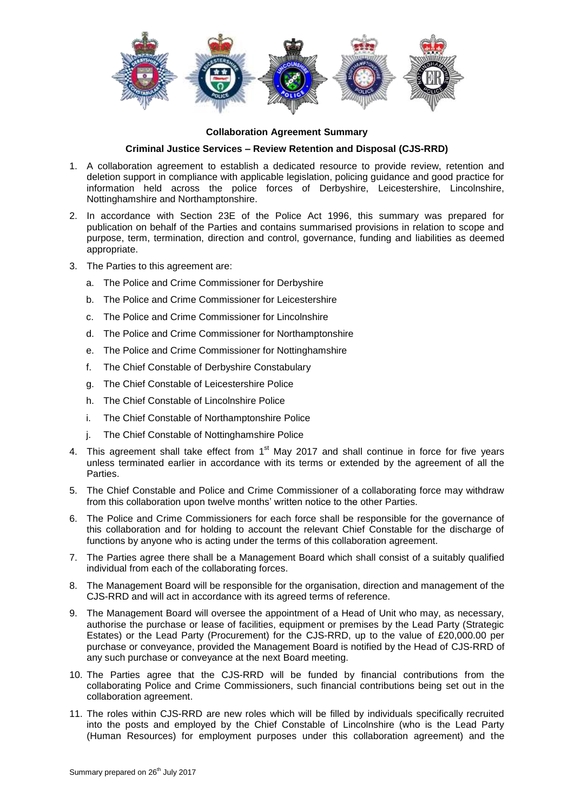

## **Collaboration Agreement Summary**

## **Criminal Justice Services – Review Retention and Disposal (CJS-RRD)**

- 1. A collaboration agreement to establish a dedicated resource to provide review, retention and deletion support in compliance with applicable legislation, policing guidance and good practice for information held across the police forces of Derbyshire, Leicestershire, Lincolnshire, Nottinghamshire and Northamptonshire.
- 2. In accordance with Section 23E of the Police Act 1996, this summary was prepared for publication on behalf of the Parties and contains summarised provisions in relation to scope and purpose, term, termination, direction and control, governance, funding and liabilities as deemed appropriate.
- 3. The Parties to this agreement are:
	- a. The Police and Crime Commissioner for Derbyshire
	- b. The Police and Crime Commissioner for Leicestershire
	- c. The Police and Crime Commissioner for Lincolnshire
	- d. The Police and Crime Commissioner for Northamptonshire
	- e. The Police and Crime Commissioner for Nottinghamshire
	- f. The Chief Constable of Derbyshire Constabulary
	- g. The Chief Constable of Leicestershire Police
	- h. The Chief Constable of Lincolnshire Police
	- i. The Chief Constable of Northamptonshire Police
	- j. The Chief Constable of Nottinghamshire Police
- 4. This agreement shall take effect from  $1<sup>st</sup>$  May 2017 and shall continue in force for five years unless terminated earlier in accordance with its terms or extended by the agreement of all the Parties.
- 5. The Chief Constable and Police and Crime Commissioner of a collaborating force may withdraw from this collaboration upon twelve months' written notice to the other Parties.
- 6. The Police and Crime Commissioners for each force shall be responsible for the governance of this collaboration and for holding to account the relevant Chief Constable for the discharge of functions by anyone who is acting under the terms of this collaboration agreement.
- 7. The Parties agree there shall be a Management Board which shall consist of a suitably qualified individual from each of the collaborating forces.
- 8. The Management Board will be responsible for the organisation, direction and management of the CJS-RRD and will act in accordance with its agreed terms of reference.
- 9. The Management Board will oversee the appointment of a Head of Unit who may, as necessary, authorise the purchase or lease of facilities, equipment or premises by the Lead Party (Strategic Estates) or the Lead Party (Procurement) for the CJS-RRD, up to the value of £20,000.00 per purchase or conveyance, provided the Management Board is notified by the Head of CJS-RRD of any such purchase or conveyance at the next Board meeting.
- 10. The Parties agree that the CJS-RRD will be funded by financial contributions from the collaborating Police and Crime Commissioners, such financial contributions being set out in the collaboration agreement.
- 11. The roles within CJS-RRD are new roles which will be filled by individuals specifically recruited into the posts and employed by the Chief Constable of Lincolnshire (who is the Lead Party (Human Resources) for employment purposes under this collaboration agreement) and the